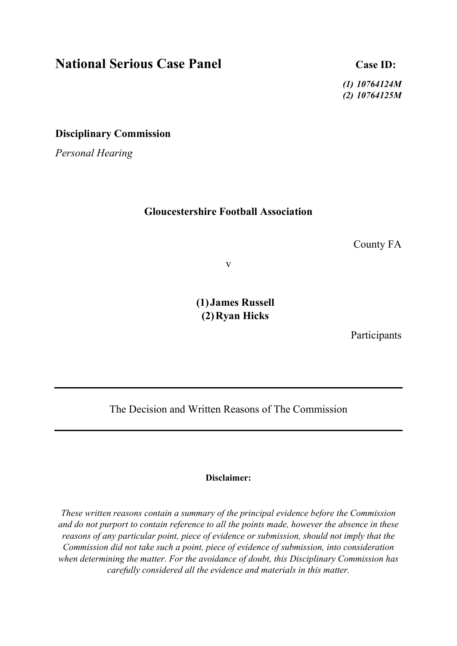**National Serious Case Panel Case ID:** Case ID:

(1) 10764124M (2) 10764125M

Disciplinary Commission

Personal Hearing

## Gloucestershire Football Association

County FA

v

(1)James Russell (2)Ryan Hicks

Participants

The Decision and Written Reasons of The Commission

Disclaimer:

These written reasons contain a summary of the principal evidence before the Commission and do not purport to contain reference to all the points made, however the absence in these reasons of any particular point, piece of evidence or submission, should not imply that the Commission did not take such a point, piece of evidence of submission, into consideration when determining the matter. For the avoidance of doubt, this Disciplinary Commission has carefully considered all the evidence and materials in this matter.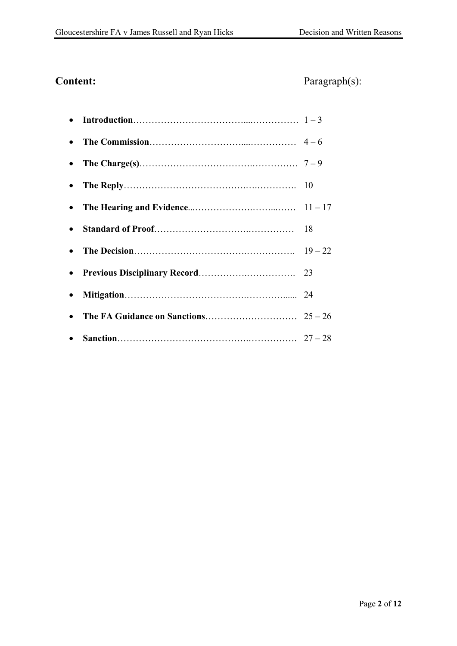# Content: Paragraph(s):

| $\bullet$ |  |
|-----------|--|
| $\bullet$ |  |
|           |  |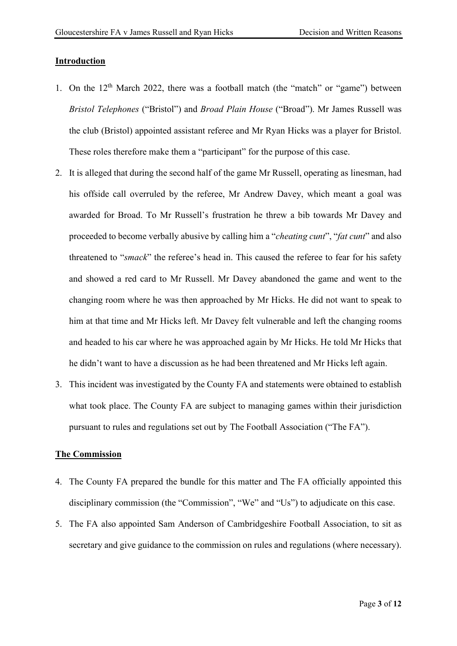#### Introduction

- 1. On the  $12<sup>th</sup>$  March 2022, there was a football match (the "match" or "game") between Bristol Telephones ("Bristol") and Broad Plain House ("Broad"). Mr James Russell was the club (Bristol) appointed assistant referee and Mr Ryan Hicks was a player for Bristol. These roles therefore make them a "participant" for the purpose of this case.
- 2. It is alleged that during the second half of the game Mr Russell, operating as linesman, had his offside call overruled by the referee, Mr Andrew Davey, which meant a goal was awarded for Broad. To Mr Russell's frustration he threw a bib towards Mr Davey and proceeded to become verbally abusive by calling him a "*cheating cunt*", "*fat cunt*" and also threatened to "smack" the referee's head in. This caused the referee to fear for his safety and showed a red card to Mr Russell. Mr Davey abandoned the game and went to the changing room where he was then approached by Mr Hicks. He did not want to speak to him at that time and Mr Hicks left. Mr Davey felt vulnerable and left the changing rooms and headed to his car where he was approached again by Mr Hicks. He told Mr Hicks that he didn't want to have a discussion as he had been threatened and Mr Hicks left again.
- 3. This incident was investigated by the County FA and statements were obtained to establish what took place. The County FA are subject to managing games within their jurisdiction pursuant to rules and regulations set out by The Football Association ("The FA").

### The Commission

- 4. The County FA prepared the bundle for this matter and The FA officially appointed this disciplinary commission (the "Commission", "We" and "Us") to adjudicate on this case.
- 5. The FA also appointed Sam Anderson of Cambridgeshire Football Association, to sit as secretary and give guidance to the commission on rules and regulations (where necessary).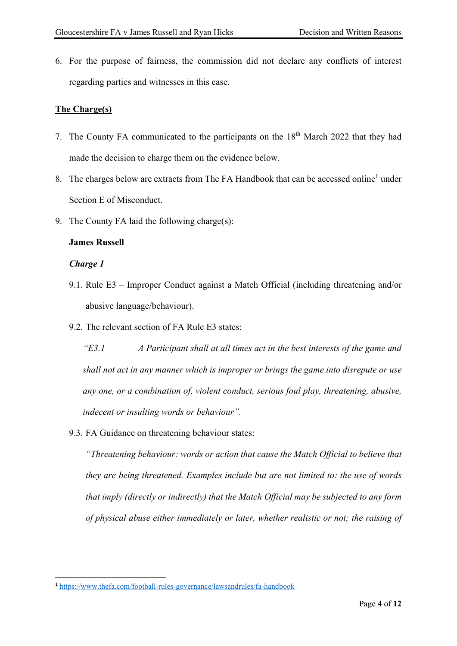6. For the purpose of fairness, the commission did not declare any conflicts of interest regarding parties and witnesses in this case.

#### The Charge(s)

- 7. The County FA communicated to the participants on the 18th March 2022 that they had made the decision to charge them on the evidence below.
- 8. The charges below are extracts from The FA Handbook that can be accessed online<sup>1</sup> under Section E of Misconduct.
- 9. The County FA laid the following charge(s):

### James Russell

### Charge 1

- 9.1. Rule E3 Improper Conduct against a Match Official (including threatening and/or abusive language/behaviour).
- 9.2. The relevant section of FA Rule E3 states:

 $E3.1$  A Participant shall at all times act in the best interests of the game and shall not act in any manner which is improper or brings the game into disrepute or use any one, or a combination of, violent conduct, serious foul play, threatening, abusive, indecent or insulting words or behaviour".

9.3. FA Guidance on threatening behaviour states:

"Threatening behaviour: words or action that cause the Match Official to believe that they are being threatened. Examples include but are not limited to: the use of words that imply (directly or indirectly) that the Match Official may be subjected to any form of physical abuse either immediately or later, whether realistic or not; the raising of

<sup>1</sup> https://www.thefa.com/football-rules-governance/lawsandrules/fa-handbook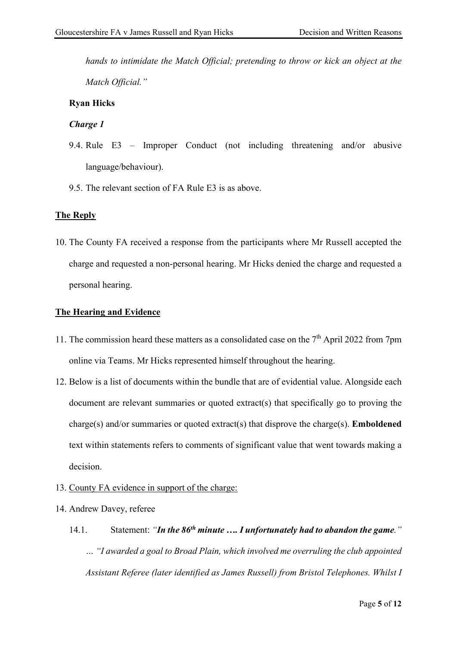hands to intimidate the Match Official; pretending to throw or kick an object at the Match Official."

### Ryan Hicks

#### Charge 1

- 9.4. Rule E3 Improper Conduct (not including threatening and/or abusive language/behaviour).
- 9.5. The relevant section of FA Rule E3 is as above.

### The Reply

10. The County FA received a response from the participants where Mr Russell accepted the charge and requested a non-personal hearing. Mr Hicks denied the charge and requested a personal hearing.

### The Hearing and Evidence

- 11. The commission heard these matters as a consolidated case on the  $7<sup>th</sup>$  April 2022 from 7pm online via Teams. Mr Hicks represented himself throughout the hearing.
- 12. Below is a list of documents within the bundle that are of evidential value. Alongside each document are relevant summaries or quoted extract(s) that specifically go to proving the charge(s) and/or summaries or quoted extract(s) that disprove the charge(s). Emboldened text within statements refers to comments of significant value that went towards making a decision.
- 13. County FA evidence in support of the charge:
- 14. Andrew Davey, referee
	- 14.1. Statement: "In the  $86<sup>th</sup>$  minute .... I unfortunately had to abandon the game." … "I awarded a goal to Broad Plain, which involved me overruling the club appointed Assistant Referee (later identified as James Russell) from Bristol Telephones. Whilst I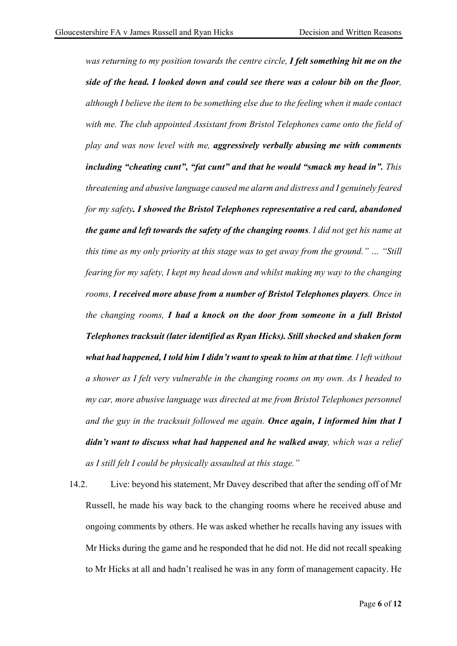was returning to my position towards the centre circle, I felt something hit me on the side of the head. I looked down and could see there was a colour bib on the floor, although I believe the item to be something else due to the feeling when it made contact with me. The club appointed Assistant from Bristol Telephones came onto the field of play and was now level with me, aggressively verbally abusing me with comments including "cheating cunt", "fat cunt" and that he would "smack my head in". This threatening and abusive language caused me alarm and distress and I genuinely feared for my safety. I showed the Bristol Telephones representative a red card, abandoned the game and left towards the safety of the changing rooms. I did not get his name at this time as my only priority at this stage was to get away from the ground." … "Still fearing for my safety, I kept my head down and whilst making my way to the changing rooms, I received more abuse from a number of Bristol Telephones players. Once in the changing rooms, I had a knock on the door from someone in a full Bristol Telephones tracksuit (later identified as Ryan Hicks). Still shocked and shaken form what had happened, I told him I didn't want to speak to him at that time. I left without a shower as I felt very vulnerable in the changing rooms on my own. As I headed to my car, more abusive language was directed at me from Bristol Telephones personnel and the guy in the tracksuit followed me again. Once again, I informed him that  $I$ didn't want to discuss what had happened and he walked away, which was a relief as I still felt I could be physically assaulted at this stage."

14.2. Live: beyond his statement, Mr Davey described that after the sending off of Mr Russell, he made his way back to the changing rooms where he received abuse and ongoing comments by others. He was asked whether he recalls having any issues with Mr Hicks during the game and he responded that he did not. He did not recall speaking to Mr Hicks at all and hadn't realised he was in any form of management capacity. He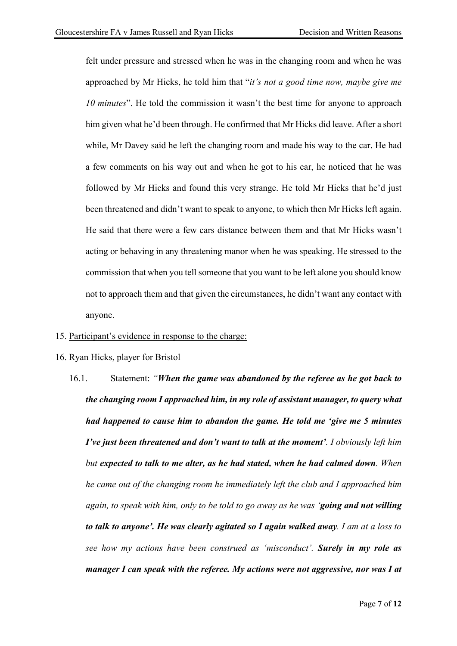felt under pressure and stressed when he was in the changing room and when he was approached by Mr Hicks, he told him that "it's not a good time now, maybe give me 10 minutes". He told the commission it wasn't the best time for anyone to approach him given what he'd been through. He confirmed that Mr Hicks did leave. After a short while, Mr Davey said he left the changing room and made his way to the car. He had a few comments on his way out and when he got to his car, he noticed that he was followed by Mr Hicks and found this very strange. He told Mr Hicks that he'd just been threatened and didn't want to speak to anyone, to which then Mr Hicks left again. He said that there were a few cars distance between them and that Mr Hicks wasn't acting or behaving in any threatening manor when he was speaking. He stressed to the commission that when you tell someone that you want to be left alone you should know not to approach them and that given the circumstances, he didn't want any contact with anyone.

- 15. Participant's evidence in response to the charge:
- 16. Ryan Hicks, player for Bristol
	- 16.1. Statement: "When the game was abandoned by the referee as he got back to the changing room I approached him, in my role of assistant manager, to query what had happened to cause him to abandon the game. He told me 'give me 5 minutes I've just been threatened and don't want to talk at the moment'. I obviously left him but expected to talk to me alter, as he had stated, when he had calmed down. When he came out of the changing room he immediately left the club and I approached him again, to speak with him, only to be told to go away as he was 'going and not willing to talk to anyone'. He was clearly agitated so I again walked away. I am at a loss to see how my actions have been construed as 'misconduct'. Surely in my role as manager I can speak with the referee. My actions were not aggressive, nor was I at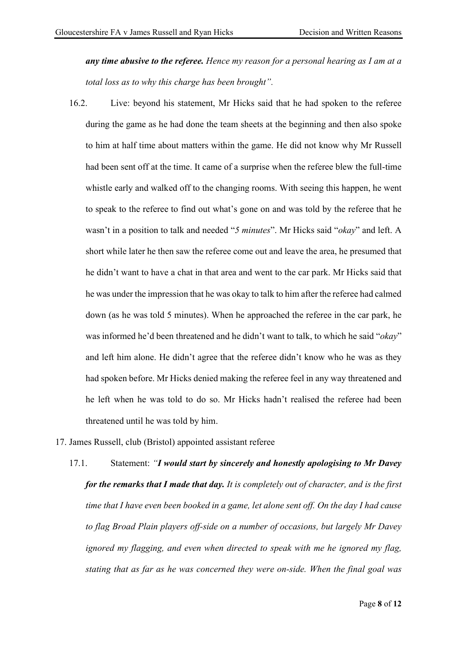any time abusive to the referee. Hence my reason for a personal hearing as I am at a total loss as to why this charge has been brought".

- 16.2. Live: beyond his statement, Mr Hicks said that he had spoken to the referee during the game as he had done the team sheets at the beginning and then also spoke to him at half time about matters within the game. He did not know why Mr Russell had been sent off at the time. It came of a surprise when the referee blew the full-time whistle early and walked off to the changing rooms. With seeing this happen, he went to speak to the referee to find out what's gone on and was told by the referee that he wasn't in a position to talk and needed "5 minutes". Mr Hicks said "okay" and left. A short while later he then saw the referee come out and leave the area, he presumed that he didn't want to have a chat in that area and went to the car park. Mr Hicks said that he was under the impression that he was okay to talk to him after the referee had calmed down (as he was told 5 minutes). When he approached the referee in the car park, he was informed he'd been threatened and he didn't want to talk, to which he said "okay" and left him alone. He didn't agree that the referee didn't know who he was as they had spoken before. Mr Hicks denied making the referee feel in any way threatened and he left when he was told to do so. Mr Hicks hadn't realised the referee had been threatened until he was told by him.
- 17. James Russell, club (Bristol) appointed assistant referee
	- 17.1. Statement: "I would start by sincerely and honestly apologising to Mr Davey for the remarks that I made that day. It is completely out of character, and is the first time that I have even been booked in a game, let alone sent off. On the day I had cause to flag Broad Plain players off-side on a number of occasions, but largely Mr Davey ignored my flagging, and even when directed to speak with me he ignored my flag, stating that as far as he was concerned they were on-side. When the final goal was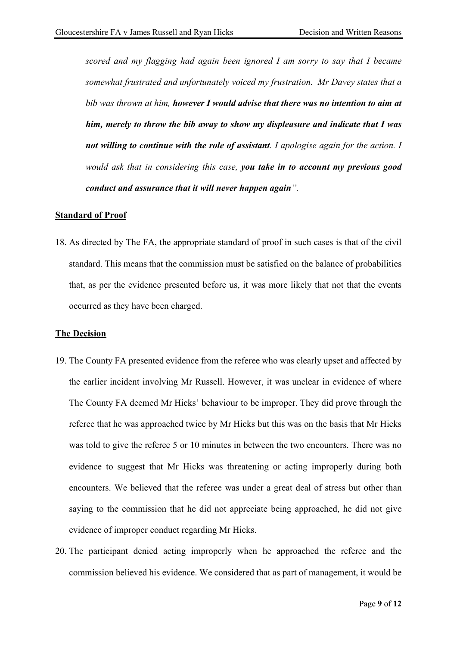scored and my flagging had again been ignored I am sorry to say that I became somewhat frustrated and unfortunately voiced my frustration. Mr Davey states that a bib was thrown at him, **however I would advise that there was no intention to aim at** him, merely to throw the bib away to show my displeasure and indicate that I was not willing to continue with the role of assistant. I apologise again for the action. I would ask that in considering this case, you take in to account my previous good conduct and assurance that it will never happen again".

#### Standard of Proof

18. As directed by The FA, the appropriate standard of proof in such cases is that of the civil standard. This means that the commission must be satisfied on the balance of probabilities that, as per the evidence presented before us, it was more likely that not that the events occurred as they have been charged.

#### The Decision

- 19. The County FA presented evidence from the referee who was clearly upset and affected by the earlier incident involving Mr Russell. However, it was unclear in evidence of where The County FA deemed Mr Hicks' behaviour to be improper. They did prove through the referee that he was approached twice by Mr Hicks but this was on the basis that Mr Hicks was told to give the referee 5 or 10 minutes in between the two encounters. There was no evidence to suggest that Mr Hicks was threatening or acting improperly during both encounters. We believed that the referee was under a great deal of stress but other than saying to the commission that he did not appreciate being approached, he did not give evidence of improper conduct regarding Mr Hicks.
- 20. The participant denied acting improperly when he approached the referee and the commission believed his evidence. We considered that as part of management, it would be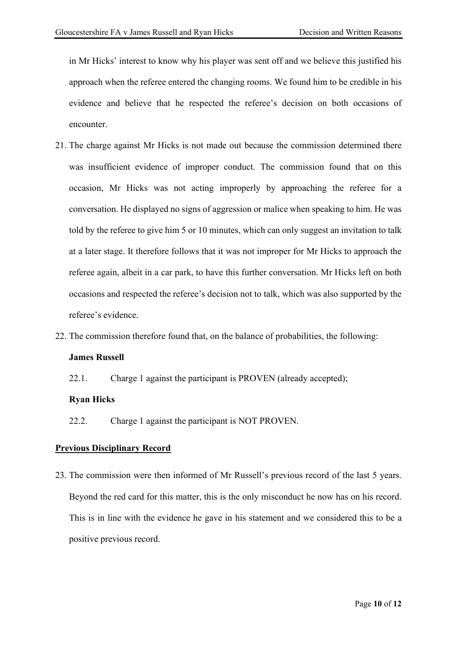in Mr Hicks' interest to know why his player was sent off and we believe this justified his approach when the referee entered the changing rooms. We found him to be credible in his evidence and believe that he respected the referee's decision on both occasions of encounter.

- 21. The charge against Mr Hicks is not made out because the commission determined there was insufficient evidence of improper conduct. The commission found that on this occasion, Mr Hicks was not acting improperly by approaching the referee for a conversation. He displayed no signs of aggression or malice when speaking to him. He was told by the referee to give him 5 or 10 minutes, which can only suggest an invitation to talk at a later stage. It therefore follows that it was not improper for Mr Hicks to approach the referee again, albeit in a car park, to have this further conversation. Mr Hicks left on both occasions and respected the referee's decision not to talk, which was also supported by the referee's evidence.
- 22. The commission therefore found that, on the balance of probabilities, the following:

### James Russell

22.1. Charge 1 against the participant is PROVEN (already accepted);

### Ryan Hicks

22.2. Charge 1 against the participant is NOT PROVEN.

### Previous Disciplinary Record

23. The commission were then informed of Mr Russell's previous record of the last 5 years. Beyond the red card for this matter, this is the only misconduct he now has on his record. This is in line with the evidence he gave in his statement and we considered this to be a positive previous record.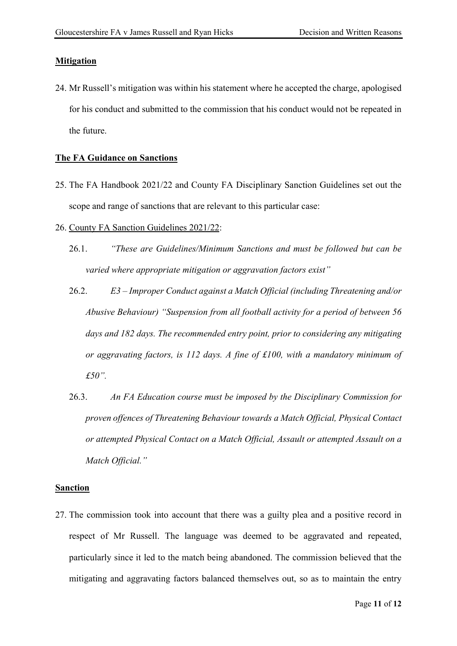#### **Mitigation**

24. Mr Russell's mitigation was within his statement where he accepted the charge, apologised for his conduct and submitted to the commission that his conduct would not be repeated in the future.

#### The FA Guidance on Sanctions

- 25. The FA Handbook 2021/22 and County FA Disciplinary Sanction Guidelines set out the scope and range of sanctions that are relevant to this particular case:
- 26. County FA Sanction Guidelines 2021/22:
	- 26.1. "These are Guidelines/Minimum Sanctions and must be followed but can be varied where appropriate mitigation or aggravation factors exist"
	- 26.2. E3 Improper Conduct against a Match Official (including Threatening and/or Abusive Behaviour) "Suspension from all football activity for a period of between 56 days and 182 days. The recommended entry point, prior to considering any mitigating or aggravating factors, is 112 days. A fine of £100, with a mandatory minimum of £50".
	- 26.3. An FA Education course must be imposed by the Disciplinary Commission for proven offences of Threatening Behaviour towards a Match Official, Physical Contact or attempted Physical Contact on a Match Official, Assault or attempted Assault on a Match Official."

#### **Sanction**

27. The commission took into account that there was a guilty plea and a positive record in respect of Mr Russell. The language was deemed to be aggravated and repeated, particularly since it led to the match being abandoned. The commission believed that the mitigating and aggravating factors balanced themselves out, so as to maintain the entry